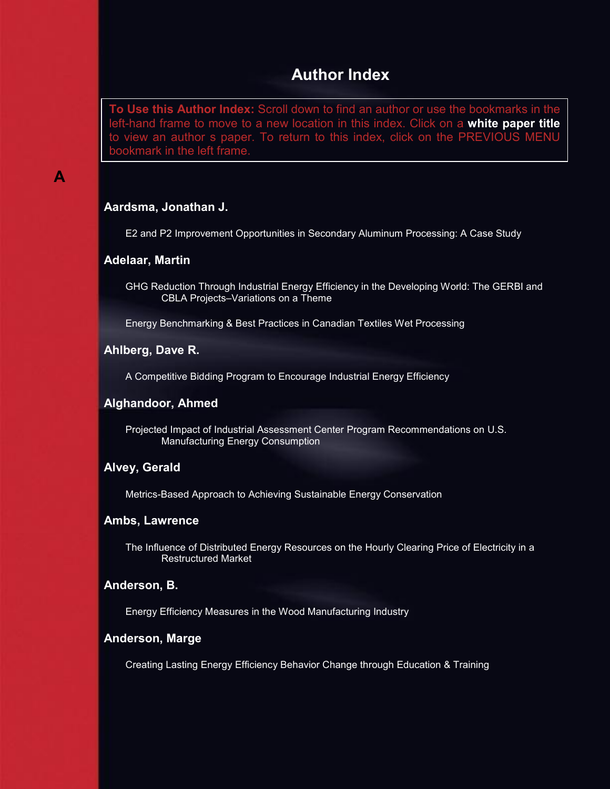# **Author Index**

<span id="page-0-0"></span>**To Use this Author Index:** Scroll down to find an author or use the bookmarks in the left-hand frame to move to a new location in this index. Click on a **white paper title** to view an author s paper. To return to this index, click on the PREVIOUS MENU bookmark in the left frame.

# **A**

# **Aardsma, Jonathan J.**

E2 and P2 Improvement Opportunities in Secondary Aluminum Processing: A Case Study

#### **Adelaar, Martin**

GHG Reduction Through Industrial Energy Efficiency in the Developing World: The GERBI and CBLA Projects–Variations on a Theme

Energy Benchmarking & Best Practices in Canadian Textiles Wet Processing

#### **Ahlberg, Dave R.**

A Competitive Bidding Program to Encourage Industrial Energy Efficiency

# **Alghandoor, Ahmed**

Projected Impact of Industrial Assessment Center Program Recommendations on U.S. Manufacturing Energy Consumption

# **Alvey, Gerald**

Metrics-Based Approach to Achieving Sustainable Energy Conservation

#### **Ambs, Lawrence**

The Influence of Distributed Energy Resources on the Hourly Clearing Price of Electricity in a Restructured Market

### **Anderson, B.**

Energy Efficiency Measures in the Wood Manufacturing Industry

#### **Anderson, Marge**

Creating Lasting Energy Efficiency Behavior Change through Education & Training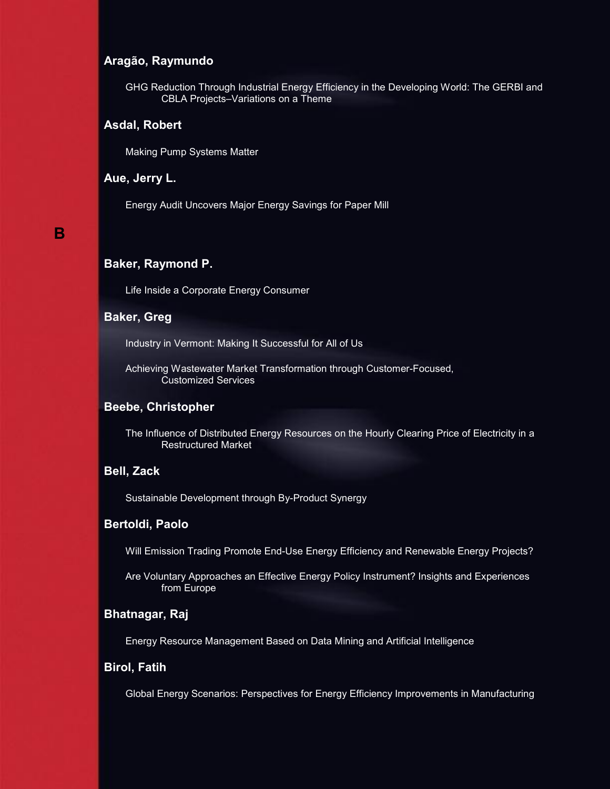## **Aragão, Raymundo**

[GHG Reduction Through Industrial Energy Efficiency in the Developing World: The GERBI and](#page-0-0)  [CBLA Projects–Variations on a Theme](#page-0-0) 

#### **Asdal, Robert**

[Making Pump Systems Matter](#page-0-0) 

#### **Aue, Jerry L.**

[Energy Audit Uncovers Major Energy Savings for Paper Mill](#page-0-0)

# **B**

# **Baker, Raymond P.**

[Life Inside a Corporate Energy Consumer](#page-0-0)

#### **Baker, Greg**

[Industry in Vermont: Making It Successful for All of Us](#page-0-0)

[Achieving Wastewater Market Transformation through Customer-Focused,](#page-0-0)  [Customized Services](#page-0-0) 

#### **Beebe, Christopher**

[The Influence of Distributed Energy Resources on the Hourly Clearing Price of Electricity in a](#page-0-0)  [Restructured Market](#page-0-0) 

# **Bell, Zack**

[Sustainable Development through By-Product Synergy](#page-0-0) 

#### **Bertoldi, Paolo**

[Will Emission Trading Promote End-Use Energy Efficiency and Renewable Energy Projects?](#page-0-0) 

[Are Voluntary Approaches an Effective Energy Policy Instrument? Insights and Experiences](#page-0-0)  [from Europe](#page-0-0) 

#### **Bhatnagar, Raj**

[Energy Resource Management Based on Data Mining and Artificial Intelligence](#page-0-0)

# **Birol, Fatih**

[Global Energy Scenarios: Perspectives for Energy Efficiency Improvements in Manufacturing](#page-0-0)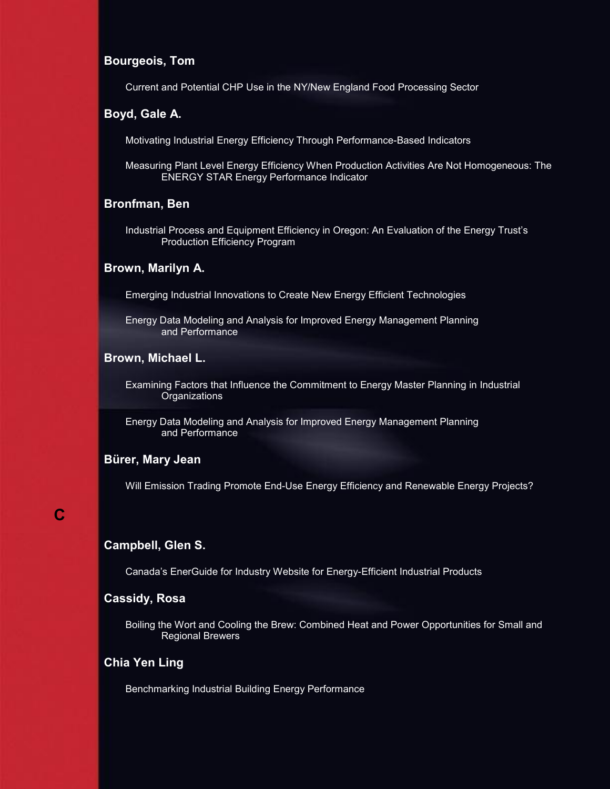#### **Bourgeois, Tom**

[Current and Potential CHP Use in the NY/New England Food Processing Sector](#page-0-0)

#### **Boyd, Gale A.**

[Motivating Industrial Energy Efficiency Through Performance-Based Indicators](#page-0-0) 

[Measuring Plant Level Energy Efficiency When Production Activities Are Not Homogeneous: The](#page-0-0)  [ENERGY STAR Energy Performance Indicator](#page-0-0) 

#### **Bronfman, Ben**

[Industrial Process and Equipment Efficiency in Oregon: An Evaluation of the Energy Trust's](#page-0-0)  [Production Efficiency Program](#page-0-0)

#### **Brown, Marilyn A.**

[Emerging Industrial Innovations to Create New Energy Efficient Technologies](#page-0-0) 

[Energy Data Modeling and Analysis for Improved Energy Management Planning](#page-0-0)  [and Performance](#page-0-0)

#### **Brown, Michael L.**

[Examining Factors that Influence the Commitment to Energy Master Planning in Industrial](#page-0-0) **Organizations** 

[Energy Data Modeling and Analysis for Improved Energy Management Planning](#page-0-0)  [and Performance](#page-0-0)

# **Bürer, Mary Jean**

[Will Emission Trading Promote End-Use Energy Efficiency and Renewable Energy Projects?](#page-0-0) 

# **C**

#### **Campbell, Glen S.**

[Canada's EnerGuide for Industry Website for Energy-Efficient Industrial Products](#page-0-0)

# **Cassidy, Rosa**

[Boiling the Wort and Cooling the Brew: Combined Heat and Power Opportunities for Small and](#page-0-0) [Regional Brewers](#page-0-0) 

# **Chia Yen Ling**

[Benchmarking Industrial Building Energy Performance](#page-0-0)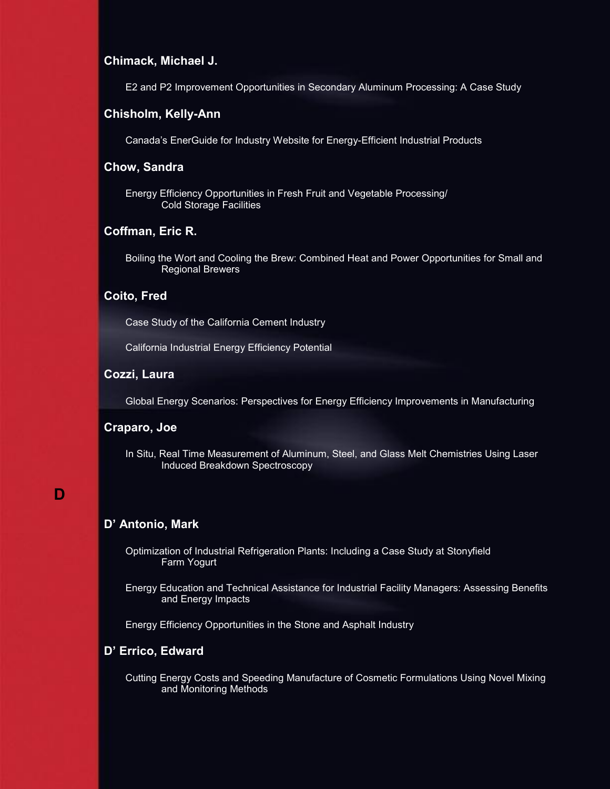#### **Chimack, Michael J.**

E2 [and P2 Improvement Opportunities in Secondary Aluminum Processing: A Case Study](#page-0-0) 

#### **Chisholm, Kelly-Ann**

[Canada's EnerGuide for Industry Website for Energy-Efficient Industrial Products](#page-0-0)

#### **Chow, Sandra**

[Energy Efficiency Opportunities in Fresh Fruit and Vegetable Processing/](#page-0-0)  [Cold Storage Facilities](#page-0-0) 

# **Coffman, Eric R.**

[Boiling the Wort and Cooling the Brew: Combined Heat and Power Opportunities for Small and](#page-0-0) [Regional Brewers](#page-0-0) 

## **Coito, Fred**

[Case Study of the California Cement Industry](#page-0-0) 

[California Industrial Energy Efficiency Potential](#page-0-0) 

#### **Cozzi, Laura**

[Global Energy Scenarios: Perspectives for Energy Efficiency Improvements in Manufacturing](#page-0-0) 

# **Craparo, Joe**

[In Situ, Real Time Measurement of Aluminum, Steel, and Glass Melt Chemistries Using Laser](#page-0-0) [Induced Breakdown Spectroscopy](#page-0-0) 

# **D**

#### **D' Antonio, Mark**

[Optimization of Industrial Refrigeration Plants: Including a Case Study at Stonyfield](#page-0-0)  [Farm Yogurt](#page-0-0)

[Energy Education and Technical Assistance for Industrial Facility Managers: Assessing Benefits](#page-0-0) [and Energy Impacts](#page-0-0) 

[Energy Efficiency Opportunities in the Stone and Asphalt Industry](#page-0-0) 

#### **D' Errico, Edward**

[Cutting Energy Costs and Speeding Manufacture of Cosmetic Formulations Using Novel Mixing](#page-0-0)  [and Monitoring Methods](#page-0-0)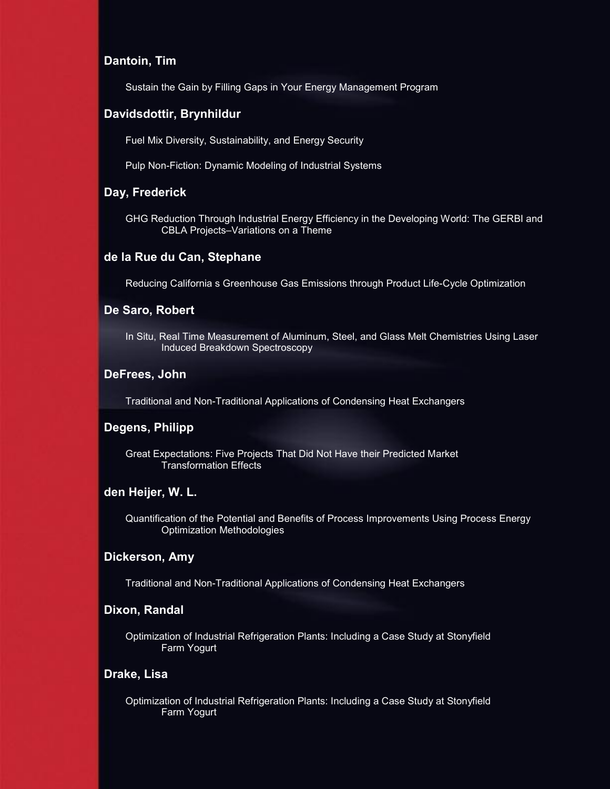#### **Dantoin, Tim**

[Sustain the Gain by Filling Gaps in Your Energy Management Program](#page-0-0)

## **Davidsdottir, Brynhildur**

[Fuel Mix Diversity, Sustainability, and Energy Security](#page-0-0)

[Pulp Non-Fiction: Dynamic Modeling of Industrial Systems](#page-0-0)

# **Day, Frederick**

[GHG Reduction Through Industrial Energy Efficiency in the Developing World: The GERBI and](#page-0-0) [CBLA Projects–Variations on a Theme](#page-0-0)

#### **de la Rue du Can, Stephane**

[Reducing California s Greenhouse Gas Emissions through Product Life-Cycle Optimization](#page-0-0)

#### **De Saro, Robert**

[In Situ, Real Time Measurement of Aluminum, Steel, and Glass Melt Chemistries Using Laser](#page-0-0) [Induced Breakdown Spectroscopy](#page-0-0)

#### **DeFrees, John**

[Traditional and Non-Traditional Applications of Condensing Heat Exchangers](#page-0-0)

#### **Degens, Philipp**

[Great Expectations: Five Projects That Did Not Have their Predicted Market](#page-0-0)  [Transformation Effects](#page-0-0)

# **den Heijer, W. L.**

[Quantification of the Potential and Benefits of Process Improvements Using Process Energy](#page-0-0) [Optimization Methodologies](#page-0-0)

#### **Dickerson, Amy**

[Traditional and Non-Traditional Applications of Condensing Heat Exchangers](#page-0-0)

#### **Dixon, Randal**

[Optimization of Industrial Refrigeration Plants: Including a Case Study at Stonyfield](#page-0-0)  [Farm Yogurt](#page-0-0)

#### **Drake, Lisa**

[Optimization of Industrial Refrigeration Plants: Including a Case Study at Stonyfield](#page-0-0)  [Farm Yogurt](#page-0-0)